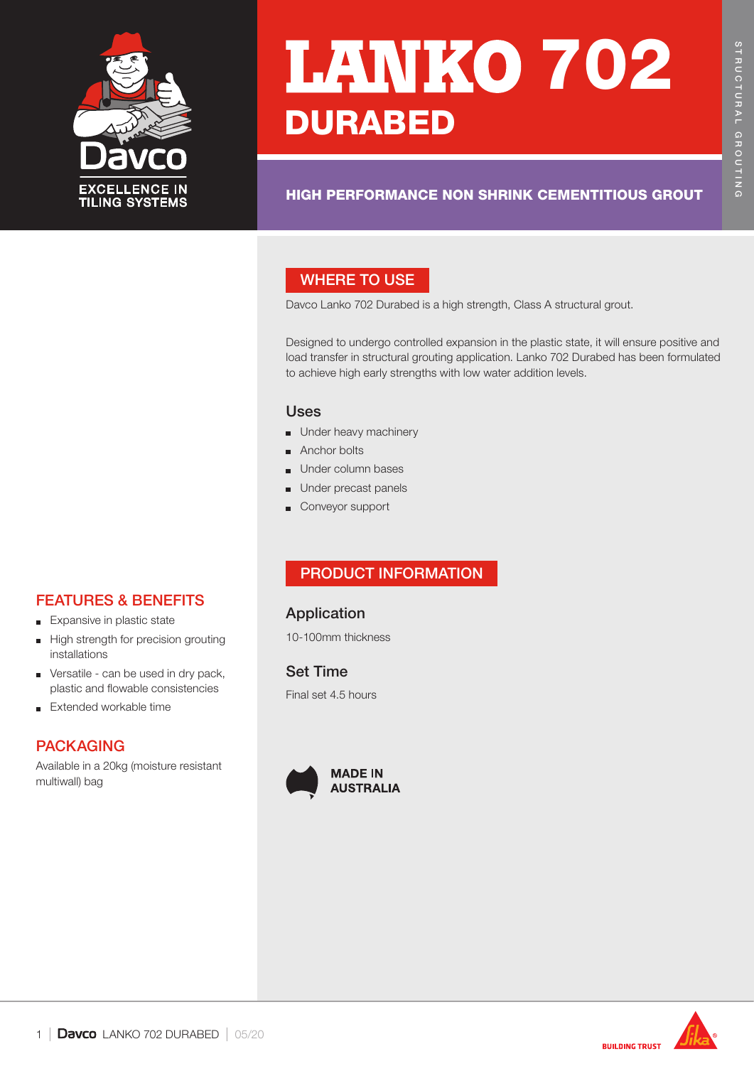

# **LANKO 702 DURABED**

# HIGH PERFORMANCE NON SHRINK CEMENTITIOUS GROUT

# WHERE TO USE

Davco Lanko 702 Durabed is a high strength, Class A structural grout.

Designed to undergo controlled expansion in the plastic state, it will ensure positive and load transfer in structural grouting application. Lanko 702 Durabed has been formulated to achieve high early strengths with low water addition levels.

#### Uses

- Under heavy machinery
- Anchor bolts
- Under column bases
- Under precast panels
- Conveyor support

# PRODUCT INFORMATION

# Application

10-100mm thickness

Set Time Final set 4.5 hours





# FEATURES & BENEFITS

- **Expansive in plastic state**
- High strength for precision grouting  $\blacksquare$ installations
- **versatile** can be used in dry pack, plastic and flowable consistencies
- Extended workable time  $\blacksquare$

# PACKAGING

Available in a 20kg (moisture resistant multiwall) bag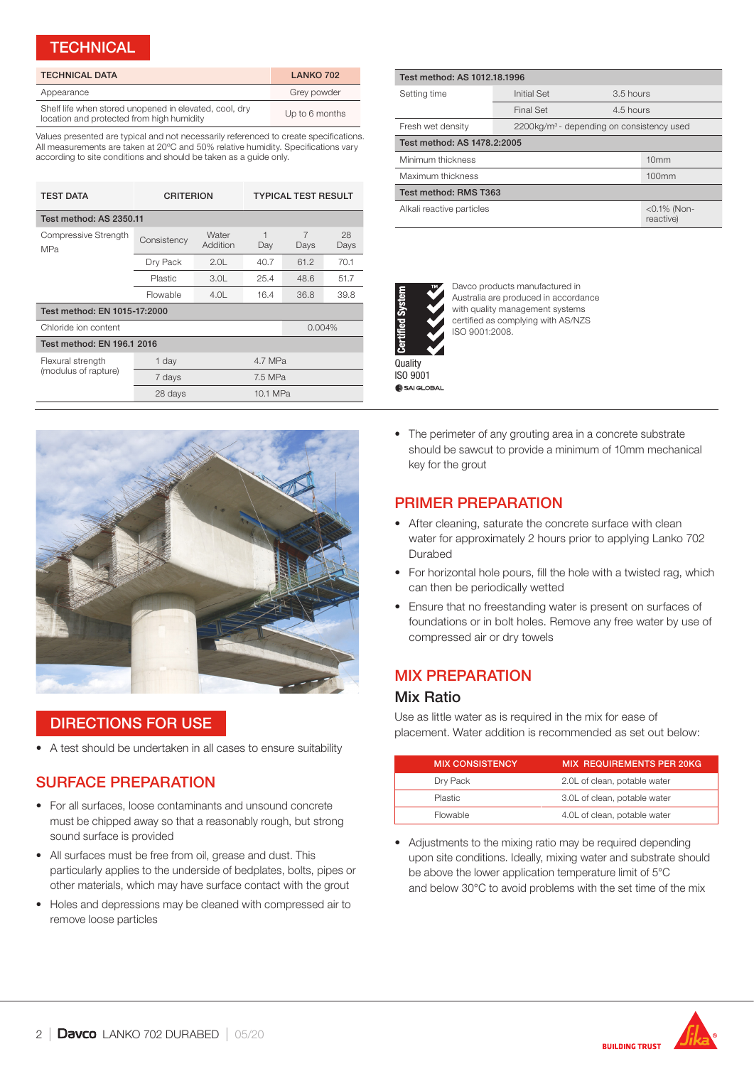#### **TECHNICAL**

| <b>TECHNICAL DATA</b>                                                                               | LANKO 702      |
|-----------------------------------------------------------------------------------------------------|----------------|
| Appearance                                                                                          | Grey powder    |
| Shelf life when stored unopened in elevated, cool, dry<br>location and protected from high humidity | Up to 6 months |

Values presented are typical and not necessarily referenced to create specifications. All measurements are taken at 20ºC and 50% relative humidity. Specifications vary according to site conditions and should be taken as a guide only.

| <b>TEST DATA</b>                          | <b>CRITERION</b> |                   | <b>TYPICAL TEST RESULT</b> |           |            |  |
|-------------------------------------------|------------------|-------------------|----------------------------|-----------|------------|--|
| Test method: AS 2350.11                   |                  |                   |                            |           |            |  |
| Compressive Strength<br>MPa               | Consistency      | Water<br>Addition | 1<br>Day                   | 7<br>Days | 28<br>Days |  |
|                                           | Dry Pack         | 2.0L              | 40.7                       | 61.2      | 70.1       |  |
|                                           | Plastic          | 3.0 <sub>l</sub>  | 25.4                       | 48.6      | 51.7       |  |
|                                           | Flowable         | 4.0L              | 16.4                       | 36.8      | 39.8       |  |
| Test method: EN 1015-17:2000              |                  |                   |                            |           |            |  |
| Chloride ion content                      |                  |                   |                            | 0.004%    |            |  |
| Test method: EN 196.1 2016                |                  |                   |                            |           |            |  |
| Flexural strength<br>(modulus of rapture) | 1 day            |                   | 4.7 MPa                    |           |            |  |
|                                           | 7 days           |                   | 7.5 MPa                    |           |            |  |
|                                           | 28 days          |                   | 10.1 MPa                   |           |            |  |



## DIRECTIONS FOR USE

• A test should be undertaken in all cases to ensure suitability

# SURFACE PREPARATION

- For all surfaces, loose contaminants and unsound concrete must be chipped away so that a reasonably rough, but strong sound surface is provided
- All surfaces must be free from oil, grease and dust. This particularly applies to the underside of bedplates, bolts, pipes or other materials, which may have surface contact with the grout
- Holes and depressions may be cleaned with compressed air to remove loose particles

| Test method: AS 1012.18.1996 |                                                       |                             |  |  |  |
|------------------------------|-------------------------------------------------------|-----------------------------|--|--|--|
| Setting time                 | Initial Set                                           | 3.5 hours                   |  |  |  |
|                              | <b>Final Set</b>                                      | 4.5 hours                   |  |  |  |
| Fresh wet density            | 2200kg/m <sup>3</sup> - depending on consistency used |                             |  |  |  |
| Test method: AS 1478.2:2005  |                                                       |                             |  |  |  |
| Minimum thickness            |                                                       | 10mm                        |  |  |  |
| Maximum thickness            |                                                       | 100mm                       |  |  |  |
| Test method: RMS T363        |                                                       |                             |  |  |  |
| Alkali reactive particles    |                                                       | $<$ 0.1% (Non-<br>reactive) |  |  |  |



Davco products manufactured in Australia are produced in accordance with quality management systems certified as complying with AS/NZS ISO 9001:2008.

**Quality** ISO 9001 SAI GLOBAL

• The perimeter of any grouting area in a concrete substrate should be sawcut to provide a minimum of 10mm mechanical key for the grout

# PRIMER PREPARATION

- After cleaning, saturate the concrete surface with clean water for approximately 2 hours prior to applying Lanko 702 Durabed
- For horizontal hole pours, fill the hole with a twisted rag, which can then be periodically wetted
- Ensure that no freestanding water is present on surfaces of foundations or in bolt holes. Remove any free water by use of compressed air or dry towels

# MIX PREPARATION

#### Mix Ratio

Use as little water as is required in the mix for ease of placement. Water addition is recommended as set out below:

| <b>MIX CONSISTENCY</b> | <b>MIX REQUIREMENTS PER 20KG</b> |
|------------------------|----------------------------------|
| Dry Pack               | 2.0L of clean, potable water     |
| <b>Plastic</b>         | 3.0L of clean, potable water     |
| Flowable               | 4.0L of clean, potable water     |

• Adjustments to the mixing ratio may be required depending upon site conditions. Ideally, mixing water and substrate should be above the lower application temperature limit of 5°C and below 30°C to avoid problems with the set time of the mix

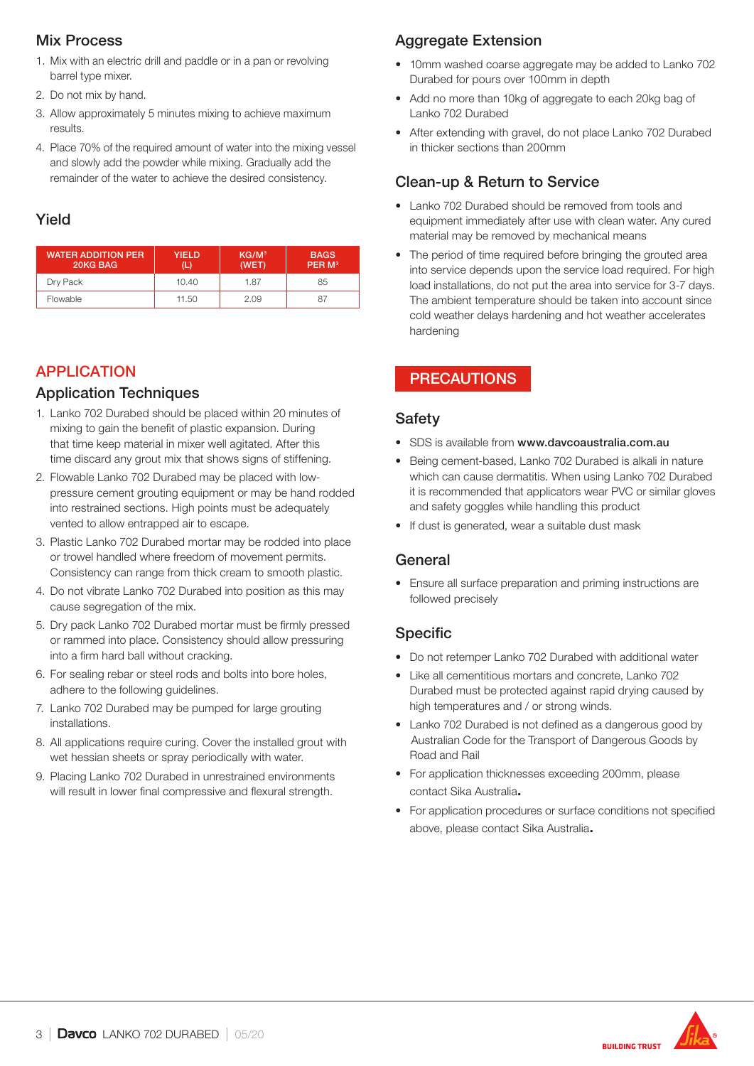## Mix Process

- 1. Mix with an electric drill and paddle or in a pan or revolving barrel type mixer.
- 2. Do not mix by hand.
- 3. Allow approximately 5 minutes mixing to achieve maximum results.
- 4. Place 70% of the required amount of water into the mixing vessel and slowly add the powder while mixing. Gradually add the remainder of the water to achieve the desired consistency.

## Yield

| <b>WATER ADDITION PER</b><br>20KG BAG | YIELD | KG/M <sup>3</sup><br>(WET) | <b>BAGS</b><br>PER M <sup>3</sup> |
|---------------------------------------|-------|----------------------------|-----------------------------------|
| Dry Pack                              | 10.40 | 1.87                       | 85                                |
| Flowable                              | 11.50 | 2.09                       | 87                                |

# APPLICATION

## Application Techniques

- 1. Lanko 702 Durabed should be placed within 20 minutes of mixing to gain the benefit of plastic expansion. During that time keep material in mixer well agitated. After this time discard any grout mix that shows signs of stiffening.
- 2. Flowable Lanko 702 Durabed may be placed with lowpressure cement grouting equipment or may be hand rodded into restrained sections. High points must be adequately vented to allow entrapped air to escape.
- 3. Plastic Lanko 702 Durabed mortar may be rodded into place or trowel handled where freedom of movement permits. Consistency can range from thick cream to smooth plastic.
- 4. Do not vibrate Lanko 702 Durabed into position as this may cause segregation of the mix.
- 5. Dry pack Lanko 702 Durabed mortar must be firmly pressed or rammed into place. Consistency should allow pressuring into a firm hard ball without cracking.
- 6. For sealing rebar or steel rods and bolts into bore holes, adhere to the following guidelines.
- 7. Lanko 702 Durabed may be pumped for large grouting installations.
- 8. All applications require curing. Cover the installed grout with wet hessian sheets or spray periodically with water.
- 9. Placing Lanko 702 Durabed in unrestrained environments will result in lower final compressive and flexural strength.

# Aggregate Extension

- 10mm washed coarse aggregate may be added to Lanko 702 Durabed for pours over 100mm in depth
- Add no more than 10kg of aggregate to each 20kg bag of Lanko 702 Durabed
- After extending with gravel, do not place Lanko 702 Durabed in thicker sections than 200mm

# Clean-up & Return to Service

- Lanko 702 Durabed should be removed from tools and equipment immediately after use with clean water. Any cured material may be removed by mechanical means
- The period of time required before bringing the grouted area into service depends upon the service load required. For high load installations, do not put the area into service for 3-7 days. The ambient temperature should be taken into account since cold weather delays hardening and hot weather accelerates hardening

# PRECAUTIONS

# Safety

- SDS is available from www.davcoaustralia.com.au
- Being cement-based, Lanko 702 Durabed is alkali in nature which can cause dermatitis. When using Lanko 702 Durabed it is recommended that applicators wear PVC or similar gloves and safety goggles while handling this product
- If dust is generated, wear a suitable dust mask

# General

• Ensure all surface preparation and priming instructions are followed precisely

# Specific

- Do not retemper Lanko 702 Durabed with additional water
- Like all cementitious mortars and concrete, Lanko 702 Durabed must be protected against rapid drying caused by high temperatures and / or strong winds.
- Lanko 702 Durabed is not defined as a dangerous good by Australian Code for the Transport of Dangerous Goods by Road and Rail
- For application thicknesses exceeding 200mm, please contact Sika Australia.
- For application procedures or surface conditions not specified above, please contact Sika Australia.